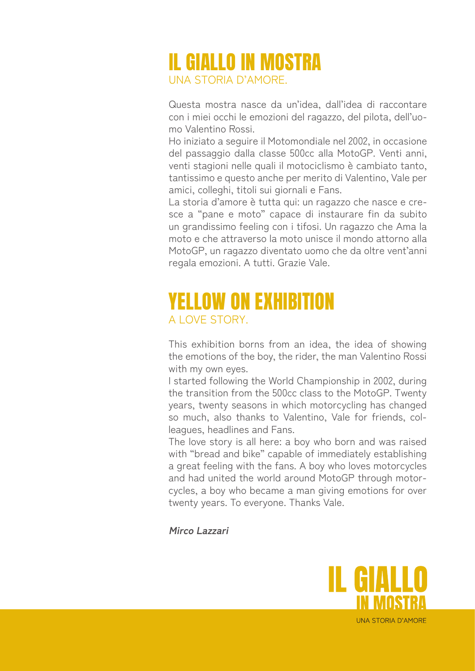## IL GIALLO IN MOSTRA UNA STORIA D'AMORE.

Questa mostra nasce da un'idea, dall'idea di raccontare con i miei occhi le emozioni del ragazzo, del pilota, dell'uomo Valentino Rossi.

Ho iniziato a seguire il Motomondiale nel 2002, in occasione del passaggio dalla classe 500cc alla MotoGP. Venti anni, venti stagioni nelle quali il motociclismo è cambiato tanto, tantissimo e questo anche per merito di Valentino, Vale per amici, colleghi, titoli sui giornali e Fans.

La storia d'amore è tutta qui: un ragazzo che nasce e cresce a "pane e moto" capace di instaurare fin da subito un grandissimo feeling con i tifosi. Un ragazzo che Ama la moto e che attraverso la moto unisce il mondo attorno alla MotoGP, un ragazzo diventato uomo che da oltre vent'anni regala emozioni. A tutti. Grazie Vale.

## YELLOW ON EXHIBITION A LOVE STORY.

This exhibition borns from an idea, the idea of showing the emotions of the boy, the rider, the man Valentino Rossi with my own eyes.

I started following the World Championship in 2002, during the transition from the 500cc class to the MotoGP. Twenty years, twenty seasons in which motorcycling has changed so much, also thanks to Valentino, Vale for friends, colleagues, headlines and Fans.

The love story is all here: a boy who born and was raised with "bread and bike" capable of immediately establishing a great feeling with the fans. A boy who loves motorcycles and had united the world around MotoGP through motorcycles, a boy who became a man giving emotions for over twenty years. To everyone. Thanks Vale.

**Mirco Lazzari**



**UNA STORIA D'AMORE**